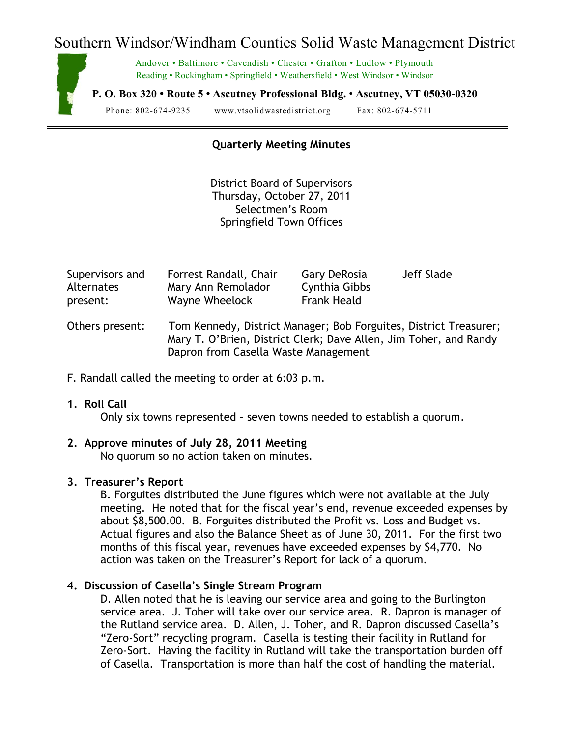# Southern Windsor/Windham Counties Solid Waste Management District



Andover • Baltimore • Cavendish • Chester • Grafton • Ludlow • Plymouth Reading • Rockingham • Springfield • Weathersfield • West Windsor • Windsor

**P. O. Box 320 • Route 5 • Ascutney Professional Bldg.** • **Ascutney, VT 05030-0320**

Phone: 802-674-9235 www.vtsolidwastedistrict.org Fax: 802-674-5711

# **Quarterly Meeting Minutes**

District Board of Supervisors Thursday, October 27, 2011 Selectmen's Room Springfield Town Offices

| Supervisors and   | Forrest Randall, Chair | Gary DeRosia  | Jeff Slade |
|-------------------|------------------------|---------------|------------|
| <b>Alternates</b> | Mary Ann Remolador     | Cynthia Gibbs |            |
| present:          | Wayne Wheelock         | Frank Heald   |            |

- Others present: Tom Kennedy, District Manager; Bob Forguites, District Treasurer; Mary T. O'Brien, District Clerk; Dave Allen, Jim Toher, and Randy Dapron from Casella Waste Management
- F. Randall called the meeting to order at 6:03 p.m.

#### **1. Roll Call**

Only six towns represented – seven towns needed to establish a quorum.

### **2. Approve minutes of July 28, 2011 Meeting**

No quorum so no action taken on minutes.

## **3. Treasurer's Report**

B. Forguites distributed the June figures which were not available at the July meeting. He noted that for the fiscal year's end, revenue exceeded expenses by about \$8,500.00. B. Forguites distributed the Profit vs. Loss and Budget vs. Actual figures and also the Balance Sheet as of June 30, 2011. For the first two months of this fiscal year, revenues have exceeded expenses by \$4,770. No action was taken on the Treasurer's Report for lack of a quorum.

## **4. Discussion of Casella's Single Stream Program**

D. Allen noted that he is leaving our service area and going to the Burlington service area. J. Toher will take over our service area. R. Dapron is manager of the Rutland service area. D. Allen, J. Toher, and R. Dapron discussed Casella's "Zero-Sort" recycling program. Casella is testing their facility in Rutland for Zero-Sort. Having the facility in Rutland will take the transportation burden off of Casella. Transportation is more than half the cost of handling the material.